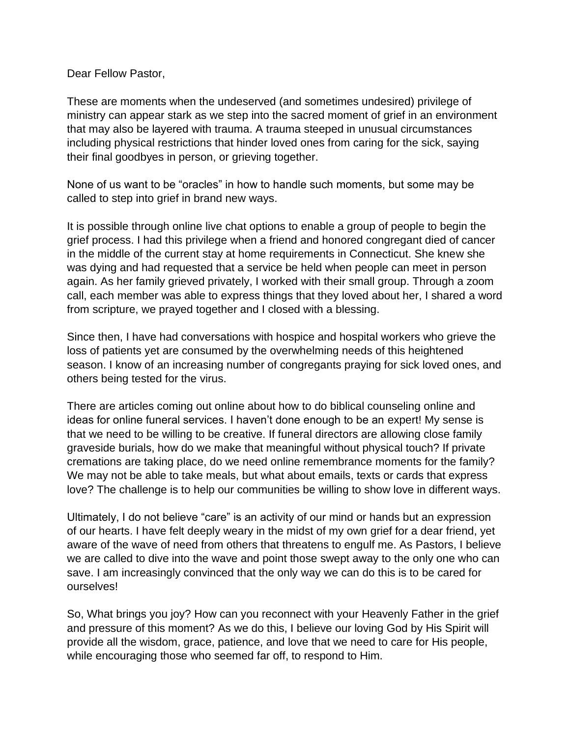Dear Fellow Pastor,

These are moments when the undeserved (and sometimes undesired) privilege of ministry can appear stark as we step into the sacred moment of grief in an environment that may also be layered with trauma. A trauma steeped in unusual circumstances including physical restrictions that hinder loved ones from caring for the sick, saying their final goodbyes in person, or grieving together.

None of us want to be "oracles" in how to handle such moments, but some may be called to step into grief in brand new ways.

It is possible through online live chat options to enable a group of people to begin the grief process. I had this privilege when a friend and honored congregant died of cancer in the middle of the current stay at home requirements in Connecticut. She knew she was dying and had requested that a service be held when people can meet in person again. As her family grieved privately, I worked with their small group. Through a zoom call, each member was able to express things that they loved about her, I shared a word from scripture, we prayed together and I closed with a blessing.

Since then, I have had conversations with hospice and hospital workers who grieve the loss of patients yet are consumed by the overwhelming needs of this heightened season. I know of an increasing number of congregants praying for sick loved ones, and others being tested for the virus.

There are articles coming out online about how to do biblical counseling online and ideas for online funeral services. I haven't done enough to be an expert! My sense is that we need to be willing to be creative. If funeral directors are allowing close family graveside burials, how do we make that meaningful without physical touch? If private cremations are taking place, do we need online remembrance moments for the family? We may not be able to take meals, but what about emails, texts or cards that express love? The challenge is to help our communities be willing to show love in different ways.

Ultimately, I do not believe "care" is an activity of our mind or hands but an expression of our hearts. I have felt deeply weary in the midst of my own grief for a dear friend, yet aware of the wave of need from others that threatens to engulf me. As Pastors, I believe we are called to dive into the wave and point those swept away to the only one who can save. I am increasingly convinced that the only way we can do this is to be cared for ourselves!

So, What brings you joy? How can you reconnect with your Heavenly Father in the grief and pressure of this moment? As we do this, I believe our loving God by His Spirit will provide all the wisdom, grace, patience, and love that we need to care for His people, while encouraging those who seemed far off, to respond to Him.